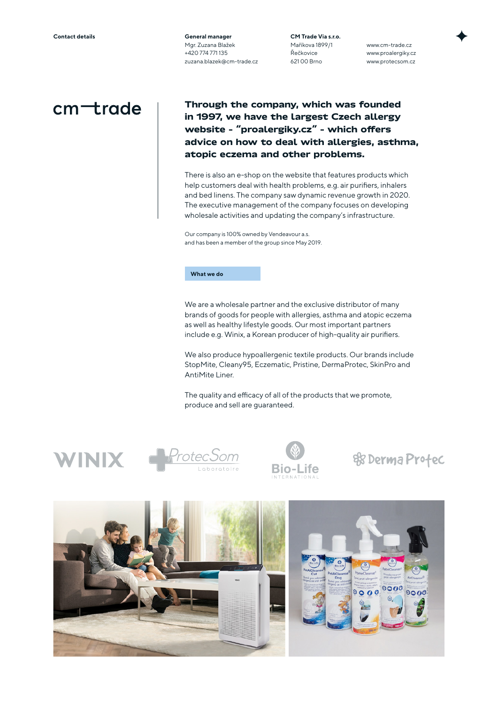**General manager** Mgr. Zuzana Blažek +420 774 771 135 zuzana.blazek@cm-trade.cz **CM Trade Via s.r.o.** Maříkova 1899/1 Řečkovice 621 00 Brno

www.cm-trade.cz www.proalergiky.cz www.protecsom.cz

## $cm$  +rade

**Through the company, which was founded in 1997, we have the largest Czech allergy website – "proalergiky.cz" – which offers advice on how to deal with allergies, asthma, atopic eczema and other problems.** 

There is also an e-shop on the website that features products which help customers deal with health problems, e.g. air purifiers, inhalers and bed linens. The company saw dynamic revenue growth in 2020. The executive management of the company focuses on developing wholesale activities and updating the company's infrastructure.

Our company is 100% owned by Vendeavour a.s. and has been a member of the group since May 2019.

## **What we do**

We are a wholesale partner and the exclusive distributor of many brands of goods for people with allergies, asthma and atopic eczema as well as healthy lifestyle goods. Our most important partners include e.g. Winix, a Korean producer of high-quality air purifiers.

We also produce hypoallergenic textile products. Our brands include StopMite, Cleany95, Eczematic, Pristine, DermaProtec, SkinPro and AntiMite Liner.

The quality and efficacy of all of the products that we promote, produce and sell are guaranteed.